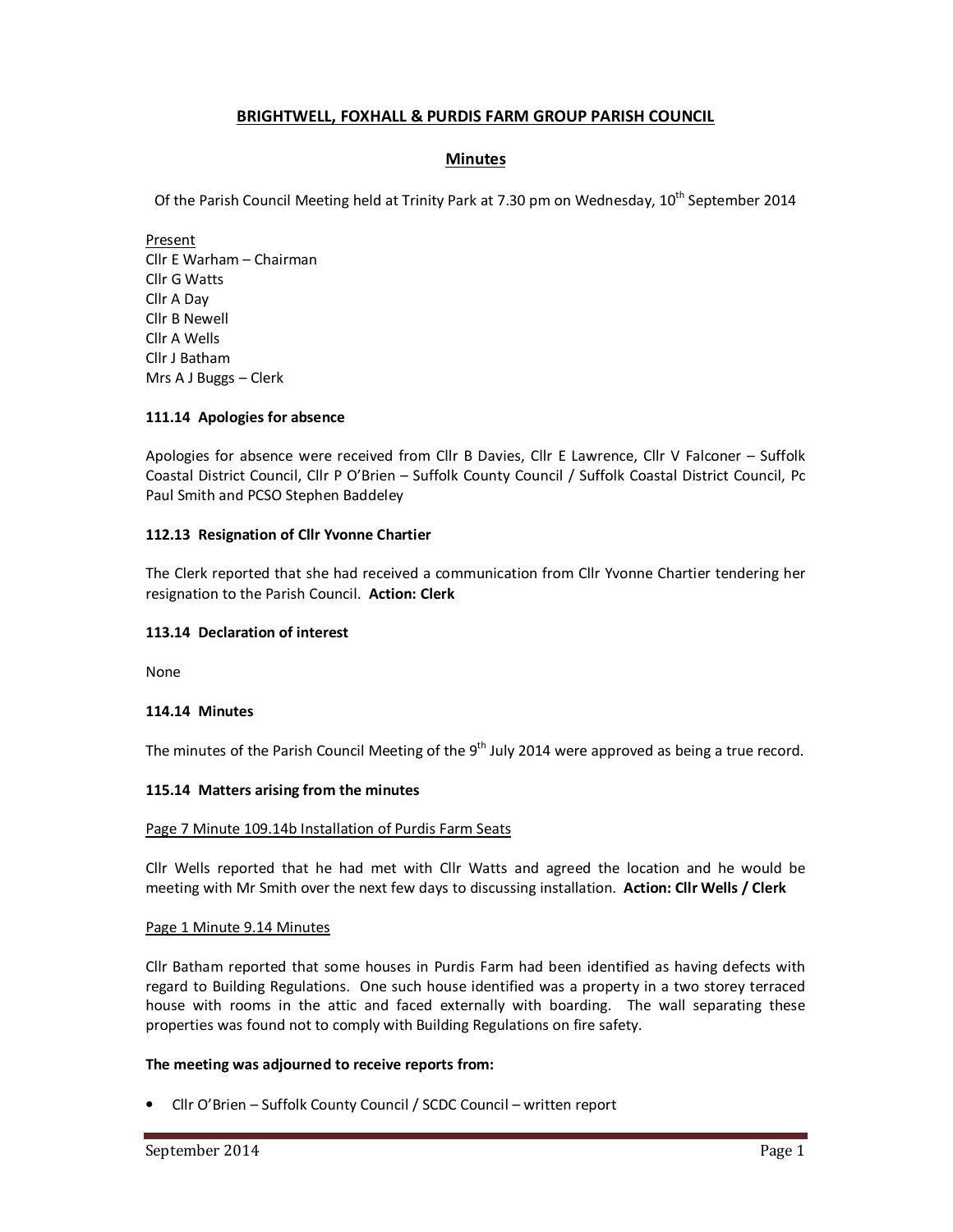# **BRIGHTWELL, FOXHALL & PURDIS FARM GROUP PARISH COUNCIL**

# **Minutes**

Of the Parish Council Meeting held at Trinity Park at 7.30 pm on Wednesday, 10<sup>th</sup> September 2014

Present Cllr E Warham – Chairman Cllr G Watts Cllr A Day Cllr B Newell Cllr A Wells Cllr J Batham Mrs A J Buggs – Clerk

### **111.14 Apologies for absence**

Apologies for absence were received from Cllr B Davies, Cllr E Lawrence, Cllr V Falconer – Suffolk Coastal District Council, Cllr P O'Brien – Suffolk County Council / Suffolk Coastal District Council, Pc Paul Smith and PCSO Stephen Baddeley

# **112.13 Resignation of Cllr Yvonne Chartier**

The Clerk reported that she had received a communication from Cllr Yvonne Chartier tendering her resignation to the Parish Council. **Action: Clerk** 

# **113.14 Declaration of interest**

None

### **114.14 Minutes**

The minutes of the Parish Council Meeting of the  $9<sup>th</sup>$  July 2014 were approved as being a true record.

### **115.14 Matters arising from the minutes**

### Page 7 Minute 109.14b Installation of Purdis Farm Seats

Cllr Wells reported that he had met with Cllr Watts and agreed the location and he would be meeting with Mr Smith over the next few days to discussing installation. **Action: Cllr Wells / Clerk** 

### Page 1 Minute 9.14 Minutes

Cllr Batham reported that some houses in Purdis Farm had been identified as having defects with regard to Building Regulations. One such house identified was a property in a two storey terraced house with rooms in the attic and faced externally with boarding. The wall separating these properties was found not to comply with Building Regulations on fire safety.

### **The meeting was adjourned to receive reports from:**

• Cllr O'Brien – Suffolk County Council / SCDC Council – written report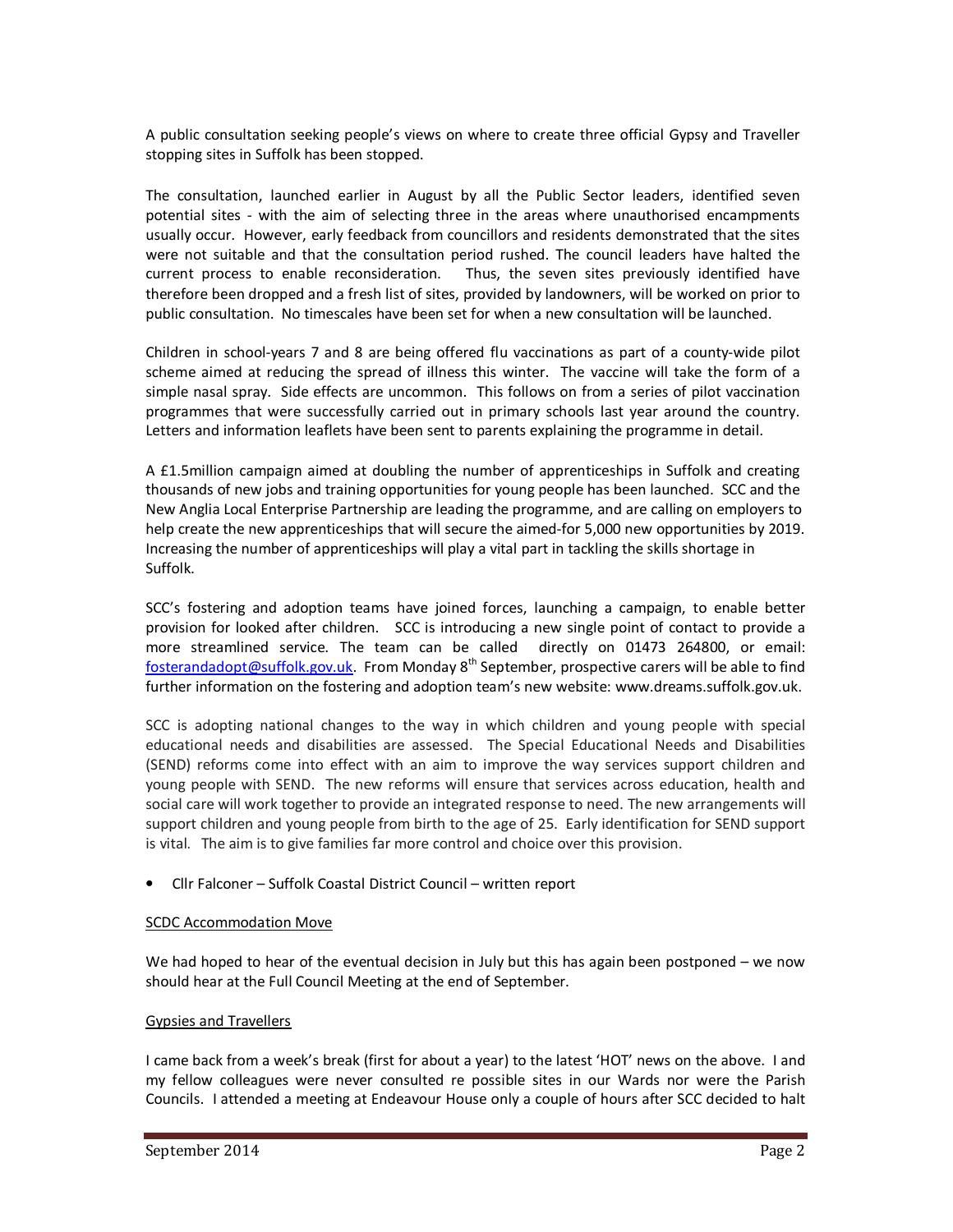A public consultation seeking people's views on where to create three official Gypsy and Traveller stopping sites in Suffolk has been stopped.

The consultation, launched earlier in August by all the Public Sector leaders, identified seven potential sites - with the aim of selecting three in the areas where unauthorised encampments usually occur. However, early feedback from councillors and residents demonstrated that the sites were not suitable and that the consultation period rushed. The council leaders have halted the current process to enable reconsideration. Thus, the seven sites previously identified have therefore been dropped and a fresh list of sites, provided by landowners, will be worked on prior to public consultation. No timescales have been set for when a new consultation will be launched.

Children in school-years 7 and 8 are being offered flu vaccinations as part of a county-wide pilot scheme aimed at reducing the spread of illness this winter. The vaccine will take the form of a simple nasal spray. Side effects are uncommon. This follows on from a series of pilot vaccination programmes that were successfully carried out in primary schools last year around the country. Letters and information leaflets have been sent to parents explaining the programme in detail.

A £1.5million campaign aimed at doubling the number of apprenticeships in Suffolk and creating thousands of new jobs and training opportunities for young people has been launched. SCC and the New Anglia Local Enterprise Partnership are leading the programme, and are calling on employers to help create the new apprenticeships that will secure the aimed-for 5,000 new opportunities by 2019. Increasing the number of apprenticeships will play a vital part in tackling the skills shortage in Suffolk.

SCC's fostering and adoption teams have joined forces, launching a campaign, to enable better provision for looked after children. SCC is introducing a new single point of contact to provide a more streamlined service. The team can be called directly on 01473 264800, or email: fosterandadopt@suffolk.gov.uk. From Monday 8<sup>th</sup> September, prospective carers will be able to find further information on the fostering and adoption team's new website: www.dreams.suffolk.gov.uk.

SCC is adopting national changes to the way in which children and young people with special educational needs and disabilities are assessed. The Special Educational Needs and Disabilities (SEND) reforms come into effect with an aim to improve the way services support children and young people with SEND. The new reforms will ensure that services across education, health and social care will work together to provide an integrated response to need. The new arrangements will support children and young people from birth to the age of 25. Early identification for SEND support is vital. The aim is to give families far more control and choice over this provision.

• Cllr Falconer – Suffolk Coastal District Council – written report

### SCDC Accommodation Move

We had hoped to hear of the eventual decision in July but this has again been postponed – we now should hear at the Full Council Meeting at the end of September.

# Gypsies and Travellers

I came back from a week's break (first for about a year) to the latest 'HOT' news on the above. I and my fellow colleagues were never consulted re possible sites in our Wards nor were the Parish Councils. I attended a meeting at Endeavour House only a couple of hours after SCC decided to halt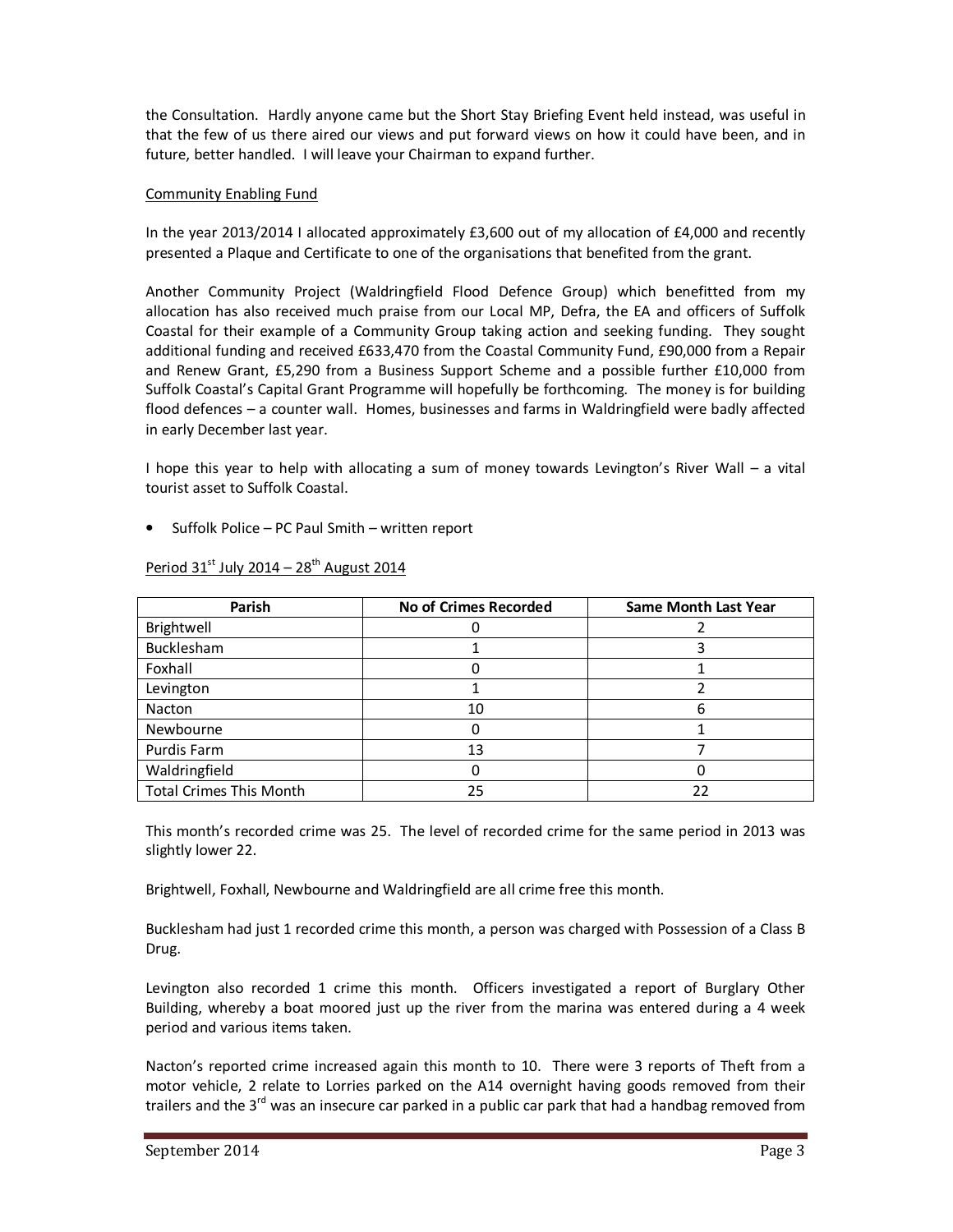the Consultation. Hardly anyone came but the Short Stay Briefing Event held instead, was useful in that the few of us there aired our views and put forward views on how it could have been, and in future, better handled. I will leave your Chairman to expand further.

### Community Enabling Fund

In the year 2013/2014 I allocated approximately £3,600 out of my allocation of £4,000 and recently presented a Plaque and Certificate to one of the organisations that benefited from the grant.

Another Community Project (Waldringfield Flood Defence Group) which benefitted from my allocation has also received much praise from our Local MP, Defra, the EA and officers of Suffolk Coastal for their example of a Community Group taking action and seeking funding. They sought additional funding and received £633,470 from the Coastal Community Fund, £90,000 from a Repair and Renew Grant, £5,290 from a Business Support Scheme and a possible further £10,000 from Suffolk Coastal's Capital Grant Programme will hopefully be forthcoming. The money is for building flood defences – a counter wall. Homes, businesses and farms in Waldringfield were badly affected in early December last year.

I hope this year to help with allocating a sum of money towards Levington's River Wall – a vital tourist asset to Suffolk Coastal.

• Suffolk Police – PC Paul Smith – written report

| Parish                         | No of Crimes Recorded | <b>Same Month Last Year</b> |
|--------------------------------|-----------------------|-----------------------------|
| Brightwell                     |                       |                             |
| Bucklesham                     |                       |                             |
| Foxhall                        |                       |                             |
| Levington                      |                       |                             |
| Nacton                         | 10                    | n                           |
| Newbourne                      |                       |                             |
| Purdis Farm                    | 13                    |                             |
| Waldringfield                  |                       |                             |
| <b>Total Crimes This Month</b> | 25                    | 22                          |

# Period  $31<sup>st</sup>$  July 2014 – 28<sup>th</sup> August 2014

This month's recorded crime was 25. The level of recorded crime for the same period in 2013 was slightly lower 22.

Brightwell, Foxhall, Newbourne and Waldringfield are all crime free this month.

Bucklesham had just 1 recorded crime this month, a person was charged with Possession of a Class B Drug.

Levington also recorded 1 crime this month. Officers investigated a report of Burglary Other Building, whereby a boat moored just up the river from the marina was entered during a 4 week period and various items taken.

Nacton's reported crime increased again this month to 10. There were 3 reports of Theft from a motor vehicle, 2 relate to Lorries parked on the A14 overnight having goods removed from their trailers and the 3<sup>rd</sup> was an insecure car parked in a public car park that had a handbag removed from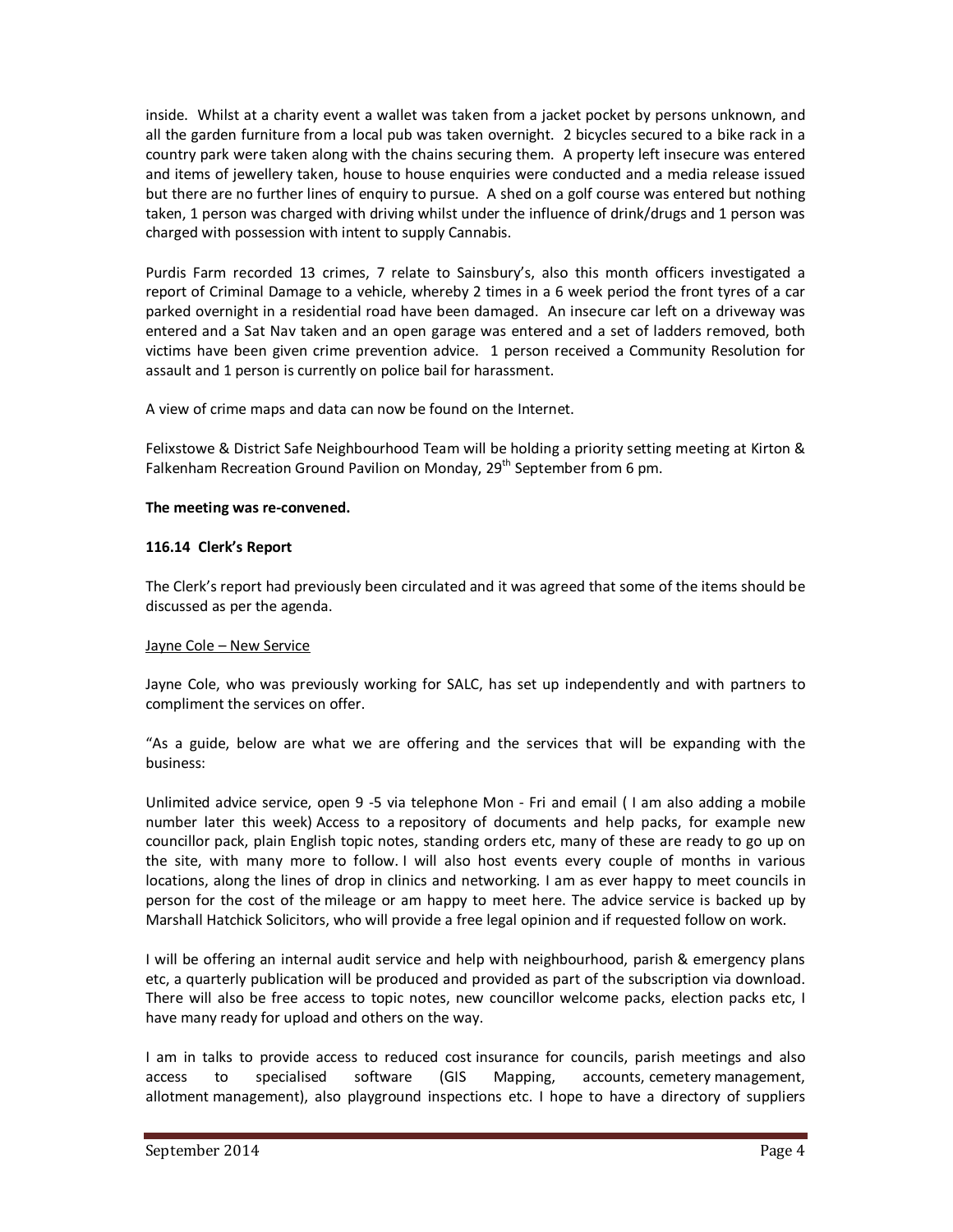inside. Whilst at a charity event a wallet was taken from a jacket pocket by persons unknown, and all the garden furniture from a local pub was taken overnight. 2 bicycles secured to a bike rack in a country park were taken along with the chains securing them. A property left insecure was entered and items of jewellery taken, house to house enquiries were conducted and a media release issued but there are no further lines of enquiry to pursue. A shed on a golf course was entered but nothing taken, 1 person was charged with driving whilst under the influence of drink/drugs and 1 person was charged with possession with intent to supply Cannabis.

Purdis Farm recorded 13 crimes, 7 relate to Sainsbury's, also this month officers investigated a report of Criminal Damage to a vehicle, whereby 2 times in a 6 week period the front tyres of a car parked overnight in a residential road have been damaged. An insecure car left on a driveway was entered and a Sat Nav taken and an open garage was entered and a set of ladders removed, both victims have been given crime prevention advice. 1 person received a Community Resolution for assault and 1 person is currently on police bail for harassment.

A view of crime maps and data can now be found on the Internet.

Felixstowe & District Safe Neighbourhood Team will be holding a priority setting meeting at Kirton & Falkenham Recreation Ground Pavilion on Monday,  $29<sup>th</sup>$  September from 6 pm.

# **The meeting was re-convened.**

# **116.14 Clerk's Report**

The Clerk's report had previously been circulated and it was agreed that some of the items should be discussed as per the agenda.

# Jayne Cole – New Service

Jayne Cole, who was previously working for SALC, has set up independently and with partners to compliment the services on offer.

"As a guide, below are what we are offering and the services that will be expanding with the business:

Unlimited advice service, open 9 -5 via telephone Mon - Fri and email ( I am also adding a mobile number later this week) Access to a repository of documents and help packs, for example new councillor pack, plain English topic notes, standing orders etc, many of these are ready to go up on the site, with many more to follow. I will also host events every couple of months in various locations, along the lines of drop in clinics and networking. I am as ever happy to meet councils in person for the cost of the mileage or am happy to meet here. The advice service is backed up by Marshall Hatchick Solicitors, who will provide a free legal opinion and if requested follow on work.

I will be offering an internal audit service and help with neighbourhood, parish & emergency plans etc, a quarterly publication will be produced and provided as part of the subscription via download. There will also be free access to topic notes, new councillor welcome packs, election packs etc, I have many ready for upload and others on the way.

I am in talks to provide access to reduced cost insurance for councils, parish meetings and also access to specialised software (GIS Mapping, accounts, cemetery management, allotment management), also playground inspections etc. I hope to have a directory of suppliers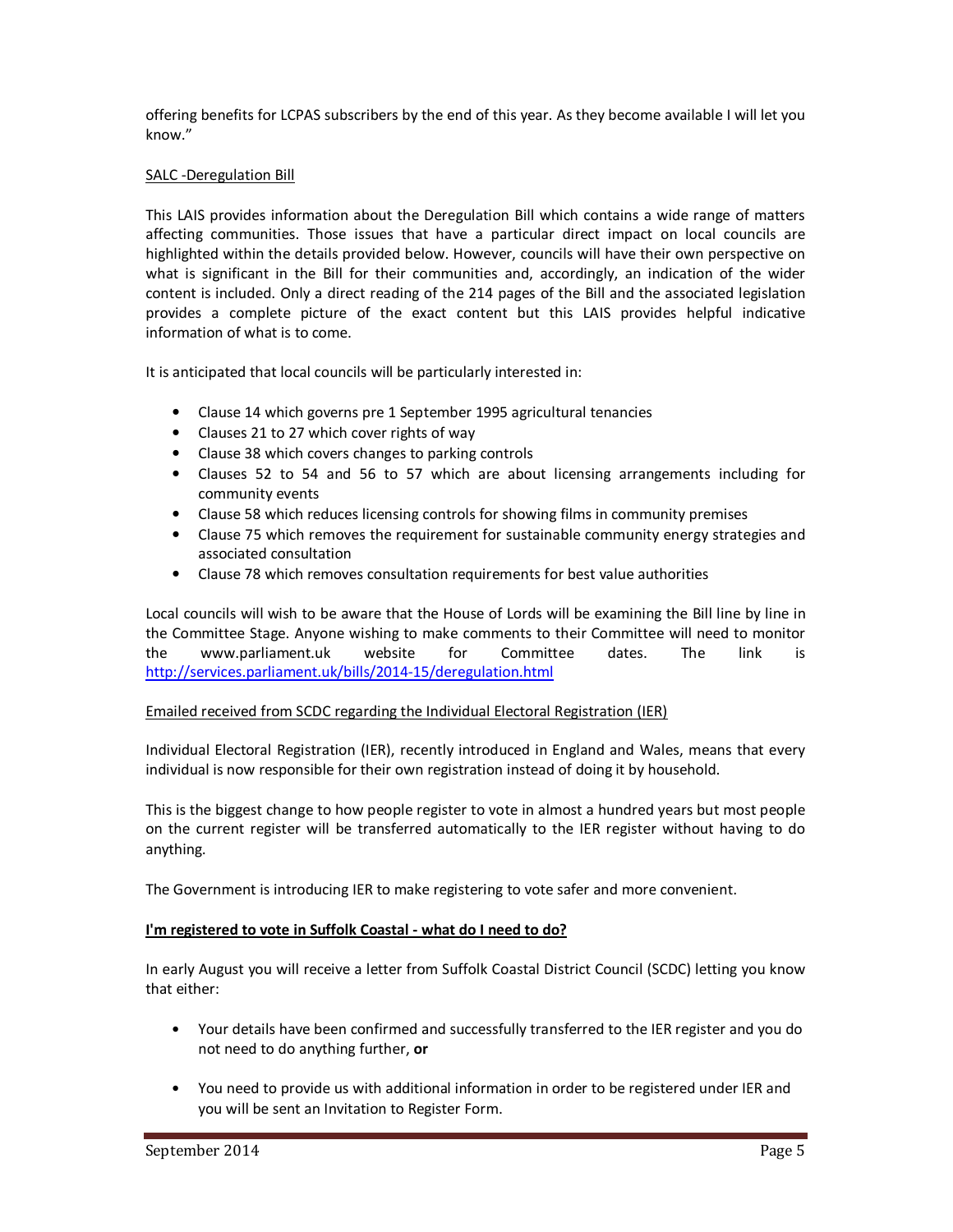offering benefits for LCPAS subscribers by the end of this year. As they become available I will let you know."

# SALC -Deregulation Bill

This LAIS provides information about the Deregulation Bill which contains a wide range of matters affecting communities. Those issues that have a particular direct impact on local councils are highlighted within the details provided below. However, councils will have their own perspective on what is significant in the Bill for their communities and, accordingly, an indication of the wider content is included. Only a direct reading of the 214 pages of the Bill and the associated legislation provides a complete picture of the exact content but this LAIS provides helpful indicative information of what is to come.

It is anticipated that local councils will be particularly interested in:

- Clause 14 which governs pre 1 September 1995 agricultural tenancies
- Clauses 21 to 27 which cover rights of way
- Clause 38 which covers changes to parking controls
- Clauses 52 to 54 and 56 to 57 which are about licensing arrangements including for community events
- Clause 58 which reduces licensing controls for showing films in community premises
- Clause 75 which removes the requirement for sustainable community energy strategies and associated consultation
- Clause 78 which removes consultation requirements for best value authorities

Local councils will wish to be aware that the House of Lords will be examining the Bill line by line in the Committee Stage. Anyone wishing to make comments to their Committee will need to monitor the www.parliament.uk website for Committee dates. The link is http://services.parliament.uk/bills/2014-15/deregulation.html

# Emailed received from SCDC regarding the Individual Electoral Registration (IER)

Individual Electoral Registration (IER), recently introduced in England and Wales, means that every individual is now responsible for their own registration instead of doing it by household.

This is the biggest change to how people register to vote in almost a hundred years but most people on the current register will be transferred automatically to the IER register without having to do anything.

The Government is introducing IER to make registering to vote safer and more convenient.

# **I'm registered to vote in Suffolk Coastal - what do I need to do?**

In early August you will receive a letter from Suffolk Coastal District Council (SCDC) letting you know that either:

- Your details have been confirmed and successfully transferred to the IER register and you do not need to do anything further, **or**
- You need to provide us with additional information in order to be registered under IER and you will be sent an Invitation to Register Form.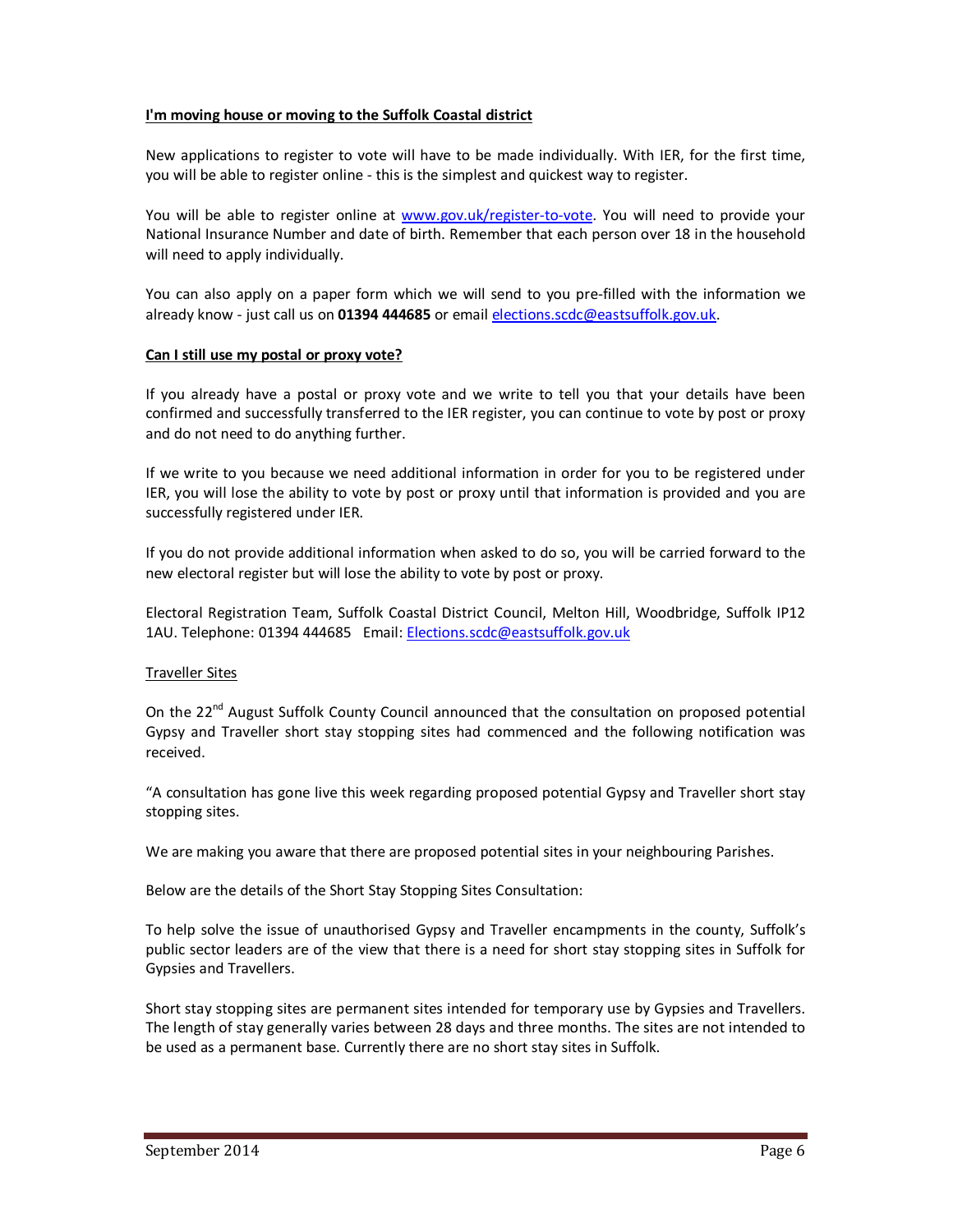### **I'm moving house or moving to the Suffolk Coastal district**

New applications to register to vote will have to be made individually. With IER, for the first time, you will be able to register online - this is the simplest and quickest way to register.

You will be able to register online at www.gov.uk/register-to-vote. You will need to provide your National Insurance Number and date of birth. Remember that each person over 18 in the household will need to apply individually.

You can also apply on a paper form which we will send to you pre-filled with the information we already know - just call us on **01394 444685** or email elections.scdc@eastsuffolk.gov.uk.

### **Can I still use my postal or proxy vote?**

If you already have a postal or proxy vote and we write to tell you that your details have been confirmed and successfully transferred to the IER register, you can continue to vote by post or proxy and do not need to do anything further.

If we write to you because we need additional information in order for you to be registered under IER, you will lose the ability to vote by post or proxy until that information is provided and you are successfully registered under IER.

If you do not provide additional information when asked to do so, you will be carried forward to the new electoral register but will lose the ability to vote by post or proxy.

Electoral Registration Team, Suffolk Coastal District Council, Melton Hill, Woodbridge, Suffolk IP12 1AU. Telephone: 01394 444685 Email: Elections.scdc@eastsuffolk.gov.uk

### Traveller Sites

On the  $22<sup>nd</sup>$  August Suffolk County Council announced that the consultation on proposed potential Gypsy and Traveller short stay stopping sites had commenced and the following notification was received.

"A consultation has gone live this week regarding proposed potential Gypsy and Traveller short stay stopping sites.

We are making you aware that there are proposed potential sites in your neighbouring Parishes.

Below are the details of the Short Stay Stopping Sites Consultation:

To help solve the issue of unauthorised Gypsy and Traveller encampments in the county, Suffolk's public sector leaders are of the view that there is a need for short stay stopping sites in Suffolk for Gypsies and Travellers.

Short stay stopping sites are permanent sites intended for temporary use by Gypsies and Travellers. The length of stay generally varies between 28 days and three months. The sites are not intended to be used as a permanent base. Currently there are no short stay sites in Suffolk.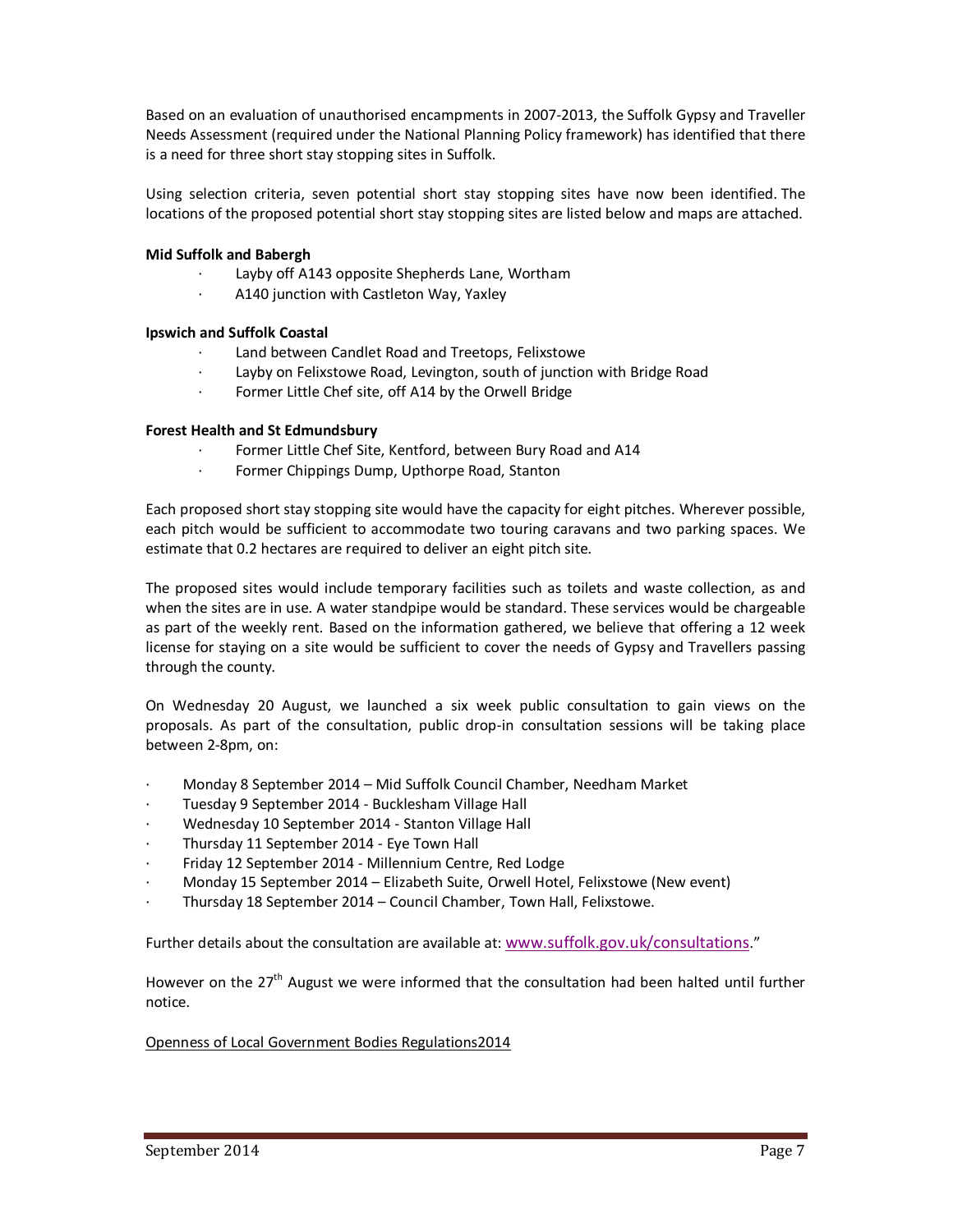Based on an evaluation of unauthorised encampments in 2007-2013, the Suffolk Gypsy and Traveller Needs Assessment (required under the National Planning Policy framework) has identified that there is a need for three short stay stopping sites in Suffolk.

Using selection criteria, seven potential short stay stopping sites have now been identified. The locations of the proposed potential short stay stopping sites are listed below and maps are attached.

### **Mid Suffolk and Babergh**

- Layby off A143 opposite Shepherds Lane, Wortham
- A140 junction with Castleton Way, Yaxley

### **Ipswich and Suffolk Coastal**

- Land between Candlet Road and Treetops, Felixstowe
- Layby on Felixstowe Road, Levington, south of junction with Bridge Road
- Former Little Chef site, off A14 by the Orwell Bridge

### **Forest Health and St Edmundsbury**

- Former Little Chef Site, Kentford, between Bury Road and A14
- · Former Chippings Dump, Upthorpe Road, Stanton

Each proposed short stay stopping site would have the capacity for eight pitches. Wherever possible, each pitch would be sufficient to accommodate two touring caravans and two parking spaces. We estimate that 0.2 hectares are required to deliver an eight pitch site.

The proposed sites would include temporary facilities such as toilets and waste collection, as and when the sites are in use. A water standpipe would be standard. These services would be chargeable as part of the weekly rent. Based on the information gathered, we believe that offering a 12 week license for staying on a site would be sufficient to cover the needs of Gypsy and Travellers passing through the county.

On Wednesday 20 August, we launched a six week public consultation to gain views on the proposals. As part of the consultation, public drop-in consultation sessions will be taking place between 2-8pm, on:

- · Monday 8 September 2014 Mid Suffolk Council Chamber, Needham Market
- · Tuesday 9 September 2014 Bucklesham Village Hall
- · Wednesday 10 September 2014 Stanton Village Hall
- · Thursday 11 September 2014 Eye Town Hall
- · Friday 12 September 2014 Millennium Centre, Red Lodge
- · Monday 15 September 2014 Elizabeth Suite, Orwell Hotel, Felixstowe (New event)
- · Thursday 18 September 2014 Council Chamber, Town Hall, Felixstowe.

Further details about the consultation are available at: www.suffolk.gov.uk/consultations."

However on the 27<sup>th</sup> August we were informed that the consultation had been halted until further notice.

### Openness of Local Government Bodies Regulations2014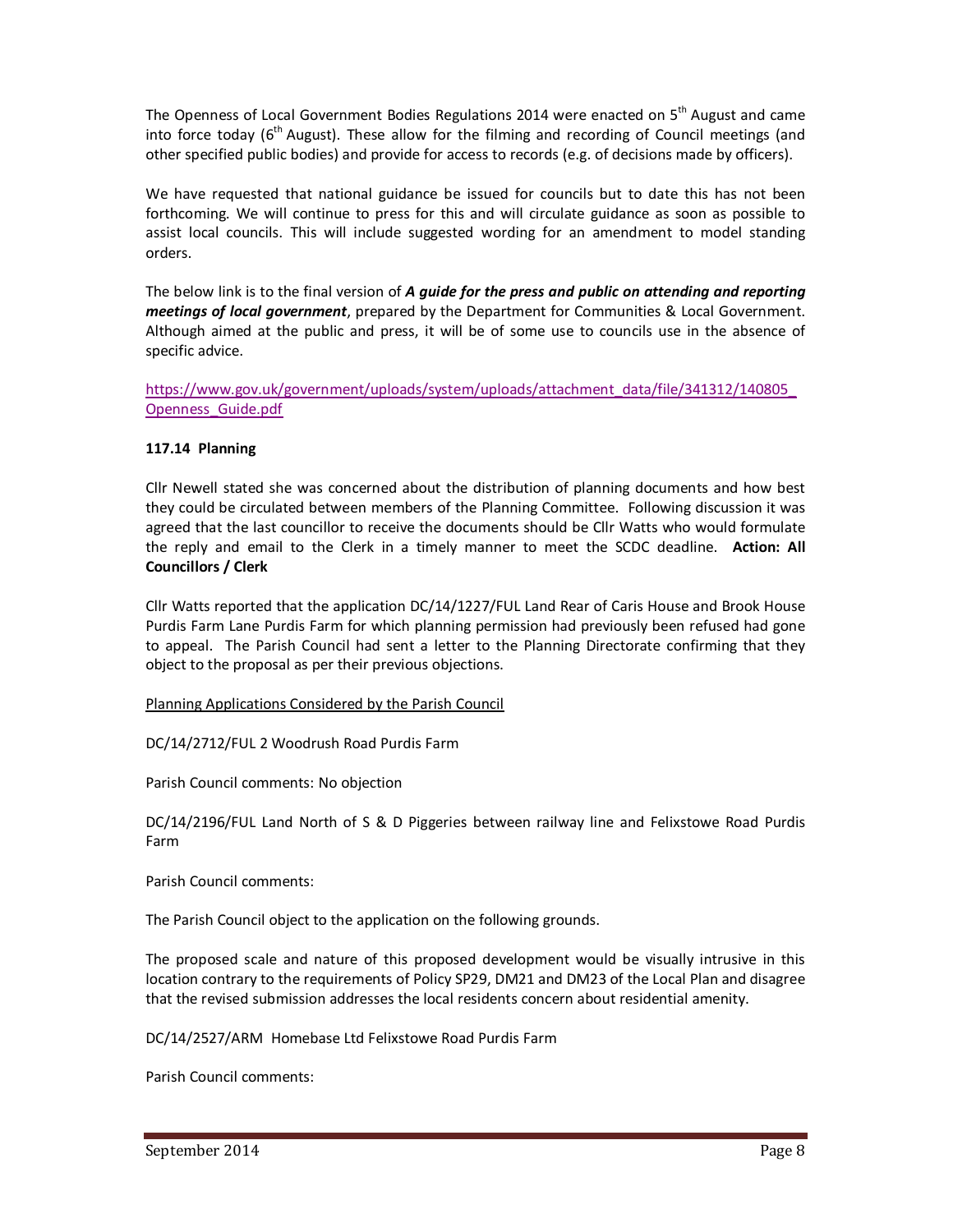The Openness of Local Government Bodies Regulations 2014 were enacted on 5<sup>th</sup> August and came into force today ( $6<sup>th</sup>$  August). These allow for the filming and recording of Council meetings (and other specified public bodies) and provide for access to records (e.g. of decisions made by officers).

We have requested that national guidance be issued for councils but to date this has not been forthcoming. We will continue to press for this and will circulate guidance as soon as possible to assist local councils. This will include suggested wording for an amendment to model standing orders.

The below link is to the final version of *A guide for the press and public on attending and reporting meetings of local government*, prepared by the Department for Communities & Local Government. Although aimed at the public and press, it will be of some use to councils use in the absence of specific advice.

https://www.gov.uk/government/uploads/system/uploads/attachment\_data/file/341312/140805\_ Openness\_Guide.pdf

# **117.14 Planning**

Cllr Newell stated she was concerned about the distribution of planning documents and how best they could be circulated between members of the Planning Committee. Following discussion it was agreed that the last councillor to receive the documents should be Cllr Watts who would formulate the reply and email to the Clerk in a timely manner to meet the SCDC deadline. **Action: All Councillors / Clerk** 

Cllr Watts reported that the application DC/14/1227/FUL Land Rear of Caris House and Brook House Purdis Farm Lane Purdis Farm for which planning permission had previously been refused had gone to appeal. The Parish Council had sent a letter to the Planning Directorate confirming that they object to the proposal as per their previous objections.

Planning Applications Considered by the Parish Council

DC/14/2712/FUL 2 Woodrush Road Purdis Farm

Parish Council comments: No objection

DC/14/2196/FUL Land North of S & D Piggeries between railway line and Felixstowe Road Purdis Farm

Parish Council comments:

The Parish Council object to the application on the following grounds.

The proposed scale and nature of this proposed development would be visually intrusive in this location contrary to the requirements of Policy SP29, DM21 and DM23 of the Local Plan and disagree that the revised submission addresses the local residents concern about residential amenity.

DC/14/2527/ARM Homebase Ltd Felixstowe Road Purdis Farm

Parish Council comments: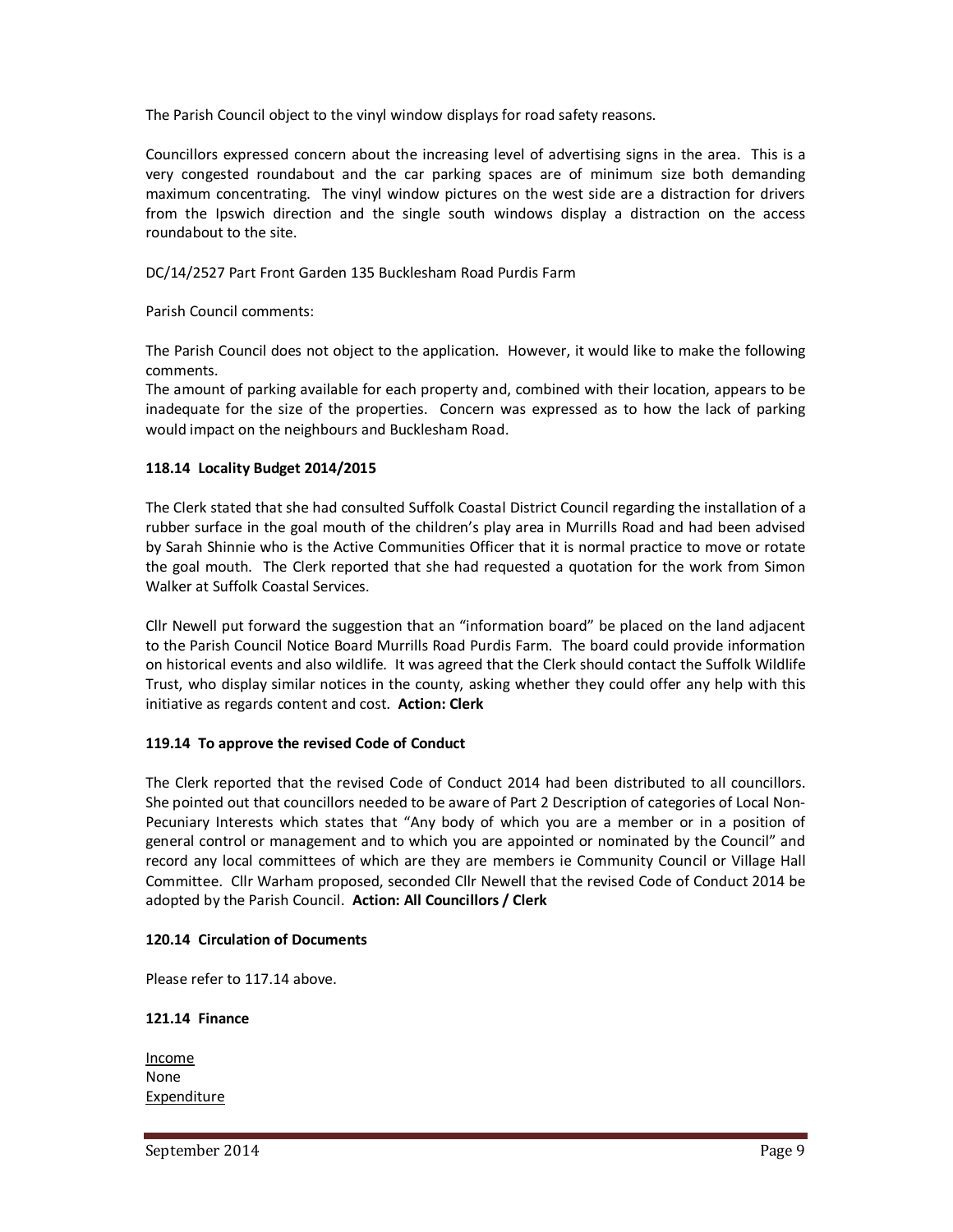The Parish Council object to the vinyl window displays for road safety reasons.

Councillors expressed concern about the increasing level of advertising signs in the area. This is a very congested roundabout and the car parking spaces are of minimum size both demanding maximum concentrating. The vinyl window pictures on the west side are a distraction for drivers from the Ipswich direction and the single south windows display a distraction on the access roundabout to the site.

DC/14/2527 Part Front Garden 135 Bucklesham Road Purdis Farm

Parish Council comments:

The Parish Council does not object to the application. However, it would like to make the following comments.

The amount of parking available for each property and, combined with their location, appears to be inadequate for the size of the properties. Concern was expressed as to how the lack of parking would impact on the neighbours and Bucklesham Road.

### **118.14 Locality Budget 2014/2015**

The Clerk stated that she had consulted Suffolk Coastal District Council regarding the installation of a rubber surface in the goal mouth of the children's play area in Murrills Road and had been advised by Sarah Shinnie who is the Active Communities Officer that it is normal practice to move or rotate the goal mouth. The Clerk reported that she had requested a quotation for the work from Simon Walker at Suffolk Coastal Services.

Cllr Newell put forward the suggestion that an "information board" be placed on the land adjacent to the Parish Council Notice Board Murrills Road Purdis Farm. The board could provide information on historical events and also wildlife. It was agreed that the Clerk should contact the Suffolk Wildlife Trust, who display similar notices in the county, asking whether they could offer any help with this initiative as regards content and cost. **Action: Clerk** 

# **119.14 To approve the revised Code of Conduct**

The Clerk reported that the revised Code of Conduct 2014 had been distributed to all councillors. She pointed out that councillors needed to be aware of Part 2 Description of categories of Local Non-Pecuniary Interests which states that "Any body of which you are a member or in a position of general control or management and to which you are appointed or nominated by the Council" and record any local committees of which are they are members ie Community Council or Village Hall Committee. Cllr Warham proposed, seconded Cllr Newell that the revised Code of Conduct 2014 be adopted by the Parish Council. **Action: All Councillors / Clerk**

### **120.14 Circulation of Documents**

Please refer to 117.14 above.

### **121.14 Finance**

Income None Expenditure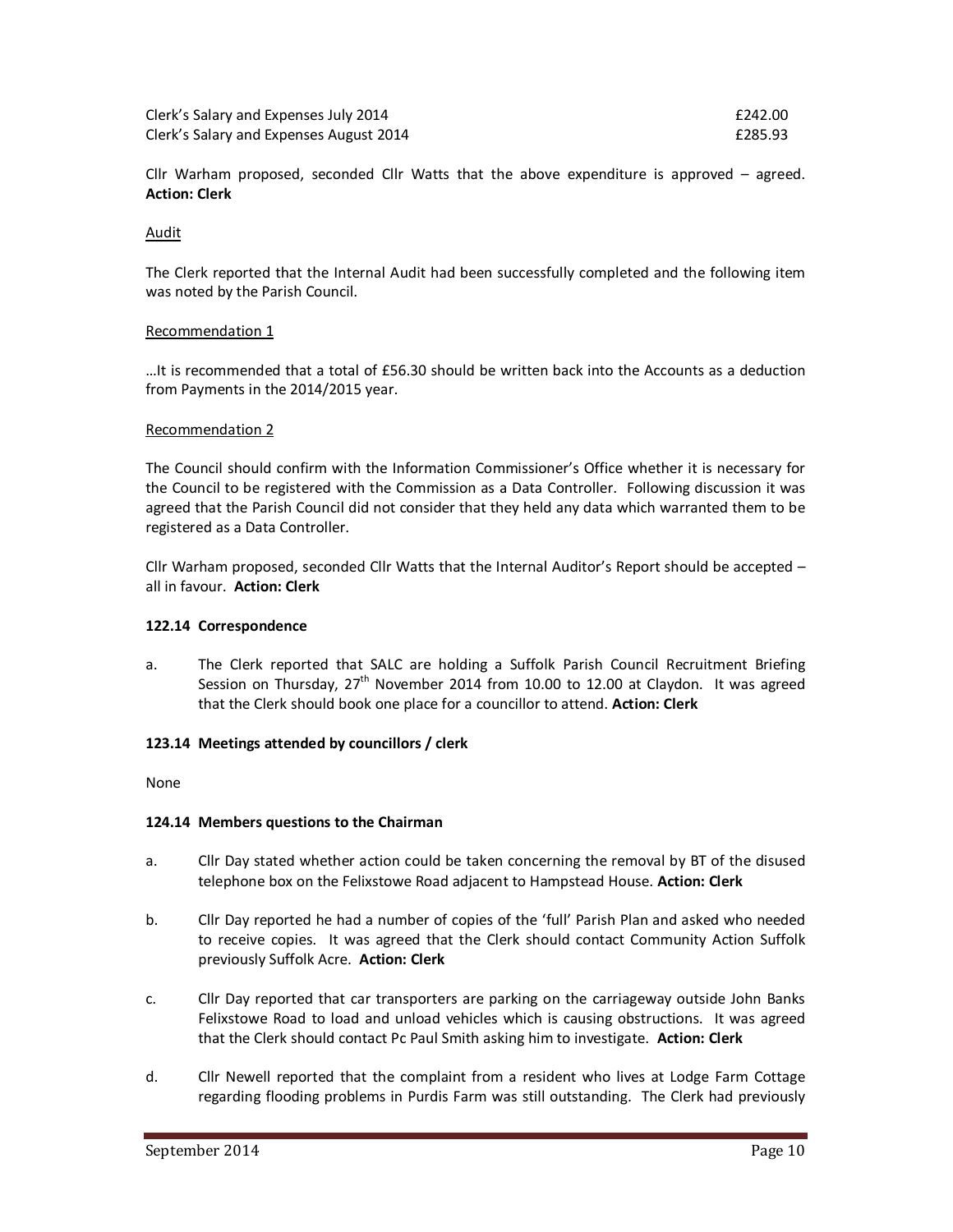| Clerk's Salary and Expenses July 2014   | £242.00 |
|-----------------------------------------|---------|
| Clerk's Salary and Expenses August 2014 | £285.93 |

Cllr Warham proposed, seconded Cllr Watts that the above expenditure is approved – agreed. **Action: Clerk** 

#### Audit

The Clerk reported that the Internal Audit had been successfully completed and the following item was noted by the Parish Council.

#### Recommendation 1

…It is recommended that a total of £56.30 should be written back into the Accounts as a deduction from Payments in the 2014/2015 year.

#### Recommendation 2

The Council should confirm with the Information Commissioner's Office whether it is necessary for the Council to be registered with the Commission as a Data Controller. Following discussion it was agreed that the Parish Council did not consider that they held any data which warranted them to be registered as a Data Controller.

Cllr Warham proposed, seconded Cllr Watts that the Internal Auditor's Report should be accepted – all in favour. **Action: Clerk**

### **122.14 Correspondence**

a. The Clerk reported that SALC are holding a Suffolk Parish Council Recruitment Briefing Session on Thursday,  $27<sup>th</sup>$  November 2014 from 10.00 to 12.00 at Claydon. It was agreed that the Clerk should book one place for a councillor to attend. **Action: Clerk** 

### **123.14 Meetings attended by councillors / clerk**

None

### **124.14 Members questions to the Chairman**

- a. Cllr Day stated whether action could be taken concerning the removal by BT of the disused telephone box on the Felixstowe Road adjacent to Hampstead House. **Action: Clerk**
- b. Cllr Day reported he had a number of copies of the 'full' Parish Plan and asked who needed to receive copies. It was agreed that the Clerk should contact Community Action Suffolk previously Suffolk Acre. **Action: Clerk**
- c. Cllr Day reported that car transporters are parking on the carriageway outside John Banks Felixstowe Road to load and unload vehicles which is causing obstructions. It was agreed that the Clerk should contact Pc Paul Smith asking him to investigate. **Action: Clerk**
- d. Cllr Newell reported that the complaint from a resident who lives at Lodge Farm Cottage regarding flooding problems in Purdis Farm was still outstanding. The Clerk had previously